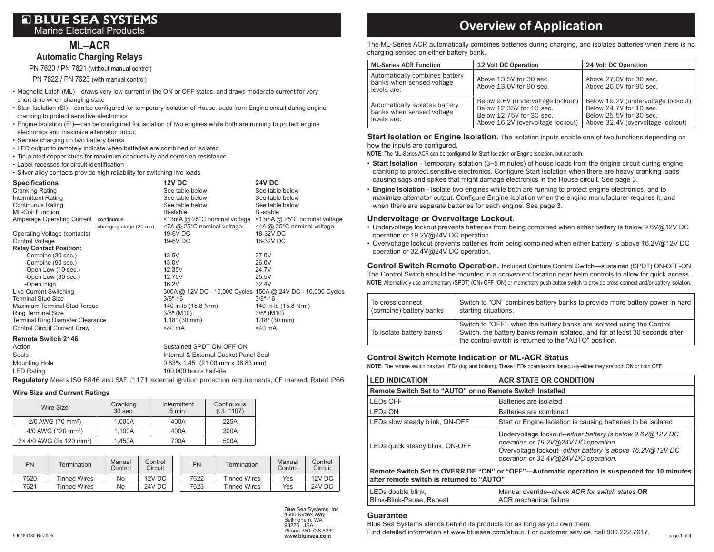### **ML– ACR Automatic Charging Relays**

PN 7620 / PN 7621 (without manual control)

PN 7622 / PN 7623 (with manual control)

- Magnetic Latch (ML)—draws very low current in the ON or OFF states, and draws moderate current for very short time when changing state
- • Start Isolation (SI)—can be configured for temporary isolation of House loads from Engine circuit during engine cranking to protect sensitive electronics
- • Engine Isolation (EI)—can be configured for isolation of two engines while both are running to protect engine electronics and maximize alternator output
- Senses charging on two battery banks
- • LED output to remotely indicate when batteries are combined or isolated
- Tin-plated copper studs for maximum conductivity and corrosion resistance
- • Label recesses for circuit identification

• Silver alloy contacts provide high reliability for switching live loads

| <b>Specifications</b><br><b>Cranking Rating</b><br><b>Intermittent Rating</b> |                        | <b>12V DC</b><br>See table below<br>See table below | <b>24V DC</b><br>See table below<br>See table below         |
|-------------------------------------------------------------------------------|------------------------|-----------------------------------------------------|-------------------------------------------------------------|
| <b>Continuous Rating</b>                                                      |                        | See table below                                     | See table below                                             |
| <b>ML-Coil Function</b>                                                       |                        | Bi-stable                                           | Bi-stable                                                   |
| Amperage Operating Current continuous                                         |                        | <13mA @ 25°C nominal voltage                        | <13mA @ 25°C nominal voltage                                |
|                                                                               | changing stage (20 ms) | <7A @ 25°C nominal voltage                          | <4A @ 25°C nominal voltage                                  |
| Operating Voltage (contacts)                                                  |                        | 19-6V DC                                            | 18-32V DC                                                   |
| <b>Control Voltage</b>                                                        |                        | 19-6V DC                                            | 18-32V DC                                                   |
| <b>Relay Contact Position:</b>                                                |                        |                                                     |                                                             |
| -Combine (30 sec.)                                                            |                        | 13.5V                                               | 27.0V                                                       |
| -Combine (90 sec.)                                                            |                        | 13.0V                                               | 26.0V                                                       |
| -Open Low (10 sec.)                                                           |                        | 12.35V                                              | 24.7V                                                       |
| -Open Low (30 sec.)                                                           |                        | 12.75V                                              | 25.5V                                                       |
| -Open High                                                                    |                        | 16.2V                                               | 32.4V                                                       |
| Live Current Switching                                                        |                        |                                                     | 300A @ 12V DC - 10,000 Cycles 150A @ 24V DC - 10,000 Cycles |
| <b>Terminal Stud Size</b>                                                     |                        | $3/8 - 16$                                          | $3/8 - 16$                                                  |
| Maximum Terminal Stud Torque                                                  |                        | 140 in-lb (15.8 N•m)                                | 140 in-lb (15.8 N•m)                                        |
| <b>Ring Terminal Size</b>                                                     |                        | $3/8$ " (M10)                                       | $3/8$ " (M10)                                               |
| <b>Terminal Ring Diameter Clearance</b>                                       |                        | 1.18" (30 mm)                                       | $1.18$ " (30 mm)                                            |
| <b>Control Circuit Current Draw</b>                                           |                        | $<$ 40 mA                                           | $<$ 40 mA                                                   |
| <b>Remote Switch 2146</b>                                                     |                        |                                                     |                                                             |
| Action                                                                        |                        | Sustained SPDT ON-OFF-ON                            |                                                             |
| Seals                                                                         |                        | Internal & External Gasket Panel Seal               |                                                             |

LED Rating **100,000 hours half-life Regulatory** Meets ISO 8846 and SAE J1171 external ignition protection requirements, CE marked, Rated IP66

#### **Wire Size and Current Ratings**

| Wire Size                            | Cranking<br>30 sec. | Intermittent<br>5 min. | Continuous<br>(UL 1107) |
|--------------------------------------|---------------------|------------------------|-------------------------|
| 2/0 AWG (70 mm <sup>2</sup> )        | 1.000A              | 400A                   | 225A                    |
| 4/0 AWG (120 mm <sup>2</sup> )       | 1.100A              | 400A                   | 300A                    |
| 2× 4/0 AWG (2x 120 mm <sup>2</sup> ) | 1.450A              | 700A                   | 500A                    |

Mounting Hole 0.83"x 1.45" (21.08 mm x 36.83 mm)

| PN   | Termination         | Manual<br>Control | Control<br>Circuit | PN   | Termination         | Manual<br>Control | Control<br>Circuit |
|------|---------------------|-------------------|--------------------|------|---------------------|-------------------|--------------------|
| 7620 | <b>Tinned Wires</b> | No                | 12V DC             | 7622 | <b>Tinned Wires</b> | Yes               | 12V DC             |
| 7621 | Tinned Wires        | No                | 24V DC             | 7623 | <b>Tinned Wires</b> | Yes               | 24V DC             |

Blue Sea Systems, Inc. 4600 Ryzex Way Bellingham, WA 98226 USA Phone 360.738.8230 **www.bluesea.com**

# Marine Electrical Products **Overview of Application**

The ML-Series ACR automatically combines batteries during charging, and isolates batteries when there is no charging sensed on either battery bank.

| <b>ML-Series ACR Function</b>                                              | 12 Volt DC Operation                                                                                                           | 24 Volt DC Operation                                                                                                          |
|----------------------------------------------------------------------------|--------------------------------------------------------------------------------------------------------------------------------|-------------------------------------------------------------------------------------------------------------------------------|
| Automatically combines battery<br>banks when sensed voltage<br>levels are: | Above 13.5V for 30 sec.<br>Above 13.0V for 90 sec.                                                                             | Above 27.0V for 30 sec.<br>Above 26.0V for 90 sec.                                                                            |
| Automatically isolates battery<br>banks when sensed voltage<br>levels are: | Below 9.6V (undervoltage lockout)<br>Below 12,35V for 10 sec.<br>Below 12,75V for 30 sec.<br>Above 16.2V (overvoltage lockout) | Below 19.2V (undervoltage lockout)<br>Below 24.7V for 10 sec.<br>Below 25.5V for 30 sec.<br>Above 32.4V (overvoltage lockout) |

#### **Start Isolation or Engine Isolation.** The isolation inputs enable one of two functions depending on how the inputs are configured.

**NOTE:** The ML-Series ACR can be configured for Start Isolation or Engine Isolation, but not both.

- **Start Isolation** Temporary isolation (3−5 minutes) of house loads from the engine circuit during engine cranking to protect sensitive electronics. Configure Start Isolation when there are heavy cranking loads causing sags and spikes that might damage electronics in the House circuit. See page 3.
- **Engine Isolation** Isolate two engines while both are running to protect engine electronics, and to maximize alternator output. Configure Engine Isolation when the engine manufacturer requires it, and when there are separate batteries for each engine. See page 3.

### **Undervoltage or Overvoltage Lockout.**

- • Undervoltage lockout prevents batteries from being combined when either battery is below 9.6V@12V DC operation or 19.2V@24V DC operation.
- • Overvoltage lockout prevents batteries from being combined when either battery is above 16.2V@12V DC operation or 32.4V@24V DC operation.

**Control Switch Remote Operation.** Included Contura Control Switch—sustained (SPDT) ON-OFF-ON. The Control Switch should be mounted in a convenient location near helm controls to allow for quick access. **NOTE:** Alternatively use a momentary (SPDT) (ON)-OFF-(ON) or momentary push button switch to provide cross connect and/or battery isolation.

| To cross connect         | Switch to "ON" combines battery banks to provide more battery power in hard                                                                                                                                      |
|--------------------------|------------------------------------------------------------------------------------------------------------------------------------------------------------------------------------------------------------------|
| (combine) battery banks  | starting situations.                                                                                                                                                                                             |
| To isolate battery banks | Switch to "OFF"- when the battery banks are isolated using the Control<br>Switch, the battery banks remain isolated, and for at least 30 seconds after<br>the control switch is returned to the "AUTO" position. |

#### **Control Switch Remote Indication or ML-ACR Status**

**NOTE:** The remote switch has two LEDs (top and bottom). These LEDs operate simultaneously-either they are both ON or both OFF.

| <b>LED INDICATION</b>                                                                                                                    | <b>ACR STATE OR CONDITION</b>                                                                                                                                                                          |  |  |
|------------------------------------------------------------------------------------------------------------------------------------------|--------------------------------------------------------------------------------------------------------------------------------------------------------------------------------------------------------|--|--|
| Remote Switch Set to "AUTO" or no Remote Switch Installed                                                                                |                                                                                                                                                                                                        |  |  |
| <b>LEDS OFF</b>                                                                                                                          | Batteries are isolated                                                                                                                                                                                 |  |  |
| LED <sub>s</sub> ON                                                                                                                      | Batteries are combined                                                                                                                                                                                 |  |  |
| LEDs slow steady blink, ON-OFF                                                                                                           | Start or Engine Isolation is causing batteries to be isolated                                                                                                                                          |  |  |
| LEDs quick steady blink, ON-OFF                                                                                                          | Undervoltage lockout--either battery is below 9.6V@12V DC<br>operation or 19.2V@24V DC operation.<br>Overvoltage lockout--either battery is above 16.2V@12V DC<br>operation or 32.4V@24V DC operation. |  |  |
| Remote Switch Set to OVERRIDE "ON" or "OFF"-Automatic operation is suspended for 10 minutes<br>after remote switch is returned to "AUTO" |                                                                                                                                                                                                        |  |  |
| LEDs double blink.<br>Blink-Blink-Pause, Repeat                                                                                          | Manual override--check ACR for switch states OR<br>ACR mechanical failure                                                                                                                              |  |  |

#### **Guarantee**

Blue Sea Systems stands behind its products for as long as you own them.

Find detailed information at www.bluesea.com/about. For customer service, call 800.222.7617.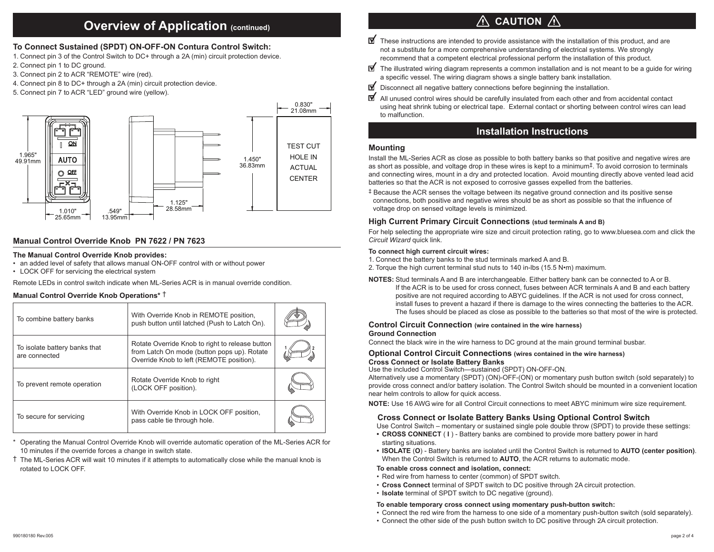### **Overview of Application (continued)**

### **To Connect Sustained (SPDT) ON-OFF-ON Contura Control Switch:**

- 1. Connect pin 3 of the Control Switch to DC+ through a 2A (min) circuit protection device.
- 2. Connect pin 1 to DC ground.
- 3. Connect pin 2 to ACR "REMOTE" wire (red).
- 4. Connect pin 8 to DC+ through a 2A (min) circuit protection device.
- 5. Connect pin 7 to ACR "LED" ground wire (yellow).



### **Manual Control Override Knob PN 7622 / PN 7623**

#### **The Manual Control Override Knob provides:**

- an added level of safety that allows manual ON-OFF control with or without power
- LOCK OFF for servicing the electrical system

Remote LEDs in control switch indicate when ML-Series ACR is in manual override condition.

#### **Manual Control Override Knob Operations\*** †

| To combine battery banks                       | With Override Knob in REMOTE position,<br>push button until latched (Push to Latch On).                                                    |  |
|------------------------------------------------|--------------------------------------------------------------------------------------------------------------------------------------------|--|
| To isolate battery banks that<br>are connected | Rotate Override Knob to right to release button<br>from Latch On mode (button pops up). Rotate<br>Override Knob to left (REMOTE position). |  |
| To prevent remote operation                    | Rotate Override Knob to right<br>(LOCK OFF position).                                                                                      |  |
| To secure for servicing                        | With Override Knob in LOCK OFF position,<br>pass cable tie through hole.                                                                   |  |

Operating the Manual Control Override Knob will override automatic operation of the ML-Series ACR for 10 minutes if the override forces a change in switch state.

† The ML-Series ACR will wait 10 minutes if it attempts to automatically close while the manual knob is rotated to LOCK OFF.

## **CAUTION**

- ™ These instructions are intended to provide assistance with the installation of this product, and are not a substitute for a more comprehensive understanding of electrical systems. We strongly recommend that a competent electrical professional perform the installation of this product.
- ⊠ The illustrated wiring diagram represents a common installation and is not meant to be a guide for wiring a specific vessel. The wiring diagram shows a single battery bank installation.
- Disconnect all negative battery connections before beginning the installation. ⊻
- ⊠ All unused control wires should be carefully insulated from each other and from accidental contact using heat shrink tubing or electrical tape. External contact or shorting between control wires can lead to malfunction.

### **Installation Instructions**

#### **Mounting**

Install the ML-Series ACR as close as possible to both battery banks so that positive and negative wires are as short as possible, and voltage drop in these wires is kept to a minimum‡. To avoid corrosion to terminals and connecting wires, mount in a dry and protected location. Avoid mounting directly above vented lead acid batteries so that the ACR is not exposed to corrosive gasses expelled from the batteries.

‡ Because the ACR senses the voltage between its negative ground connection and its positive sense connections, both positive and negative wires should be as short as possible so that the influence of voltage drop on sensed voltage levels is minimized.

#### **High Current Primary Circuit Connections (stud terminals A and B)**

For help selecting the appropriate wire size and circuit protection rating, go to www.bluesea.com and click the *Circuit Wizard* quick link.

#### **To connect high current circuit wires:**

- 1. Connect the battery banks to the stud terminals marked A and B.
- 2. Torque the high current terminal stud nuts to 140 in-lbs (15.5 N•m) maximum.
- **NOTES:** Stud terminals A and B are interchangeable. Either battery bank can be connected to A or B. If the ACR is to be used for cross connect, fuses between ACR terminals A and B and each battery positive are not required according to ABYC guidelines. If the ACR is not used for cross connect, install fuses to prevent a hazard if there is damage to the wires connecting the batteries to the ACR. The fuses should be placed as close as possible to the batteries so that most of the wire is protected.

### **Control Circuit Connection (wire contained in the wire harness)**

#### **Ground Connection**

Connect the black wire in the wire harness to DC ground at the main ground terminal busbar.

#### **Optional Control Circuit Connections (wires contained in the wire harness) Cross Connect or Isolate Battery Banks**

Use the included Control Switch—sustained (SPDT) ON-OFF-ON.

Alternatively use a momentary (SPDT) (ON)-OFF-(ON) or momentary push button switch (sold separately) to provide cross connect and/or battery isolation. The Control Switch should be mounted in a convenient location near helm controls to allow for quick access.

**NOTE:** Use 16 AWG wire for all Control Circuit connections to meet ABYC minimum wire size requirement.

#### **Cross Connect or Isolate Battery Banks Using Optional Control Switch**

 Use Control Switch – momentary or sustained single pole double throw (SPDT) to provide these settings:

- **• CROSS CONNECT** ( **I** ) Battery banks are combined to provide more battery power in hard starting situations.
- **• ISOLATE** (**O**) Battery banks are isolated until the Control Switch is returned to **AUTO (center position)**. When the Control Switch is returned to **AUTO**, the ACR returns to automatic mode.

#### **To enable cross connect and isolation, connect:**

- • Red wire from harness to center (common) of SPDT switch.
- **Cross Connect** terminal of SPDT switch to DC positive through 2A circuit protection.
- **Isolate** terminal of SPDT switch to DC negative (ground).

#### **To enable temporary cross connect using momentary push-button switch:**

- • Connect the red wire from the harness to one side of a momentary push-button switch (sold separately).
- • Connect the other side of the push button switch to DC positive through 2A circuit protection.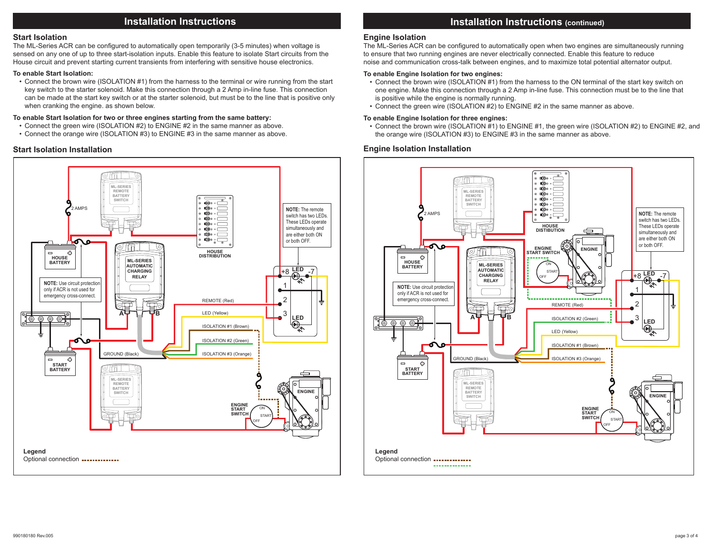### **Installation Instructions**

#### **Start Isolation**

The ML-Series ACR can be configured to automatically open temporarily (3-5 minutes) when voltage is sensed on any one of up to three start-isolation inputs. Enable this feature to isolate Start circuits from the House circuit and prevent starting current transients from interfering with sensitive house electronics.

#### **To enable Start Isolation:**

• Connect the brown wire (ISOLATION #1) from the harness to the terminal or wire running from the start key switch to the starter solenoid. Make this connection through a 2 Amp in-line fuse. This connection can be made at the start key switch or at the starter solenoid, but must be to the line that is positive only when cranking the engine. as shown below.

#### **To enable Start Isolation for two or three engines starting from the same battery:**

- Connect the green wire (ISOLATION #2) to ENGINE #2 in the same manner as above.
- • Connect the orange wire (ISOLATION #3) to ENGINE #3 in the same manner as above.

#### **Start Isolation Installation**



### **Installation Instructions (continued)**

#### **Engine Isolation**

The ML-Series ACR can be configured to automatically open when two engines are simultaneously running to ensure that two running engines are never electrically connected. Enable this feature to reduce noise and communication cross-talk between engines, and to maximize total potential alternator output.

#### **To enable Engine Isolation for two engines:**

- Connect the brown wire (ISOLATION #1) from the harness to the ON terminal of the start key switch on one engine. Make this connection through a 2 Amp in-line fuse. This connection must be to the line that is positive while the engine is normally running.
- Connect the green wire (ISOLATION #2) to ENGINE #2 in the same manner as above.

#### **To enable Engine Isolation for three engines:**

 • Connect the brown wire (ISOLATION #1) to ENGINE #1, the green wire (ISOLATION #2) to ENGINE #2, and the orange wire (ISOLATION #3) to ENGINE #3 in the same manner as above.

#### **Engine Isolation Installation**